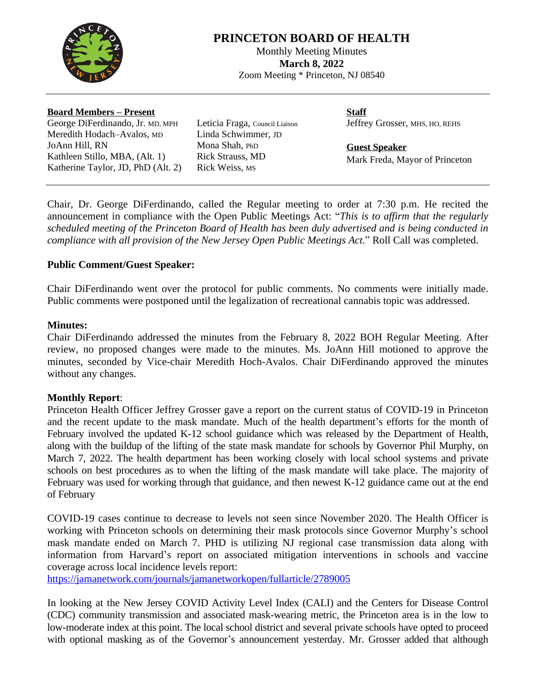

# **PRINCETON BOARD OF HEALTH**

Monthly Meeting Minutes **March 8, 2022** Zoom Meeting \* Princeton, NJ 08540

#### **Board Members – Present**

George DiFerdinando, Jr. MD, MPH Meredith Hodach–Avalos, MD JoAnn Hill, RN Kathleen Stillo, MBA, (Alt. 1) Katherine Taylor, JD, PhD (Alt. 2) Leticia Fraga, Council Liaison Linda Schwimmer, JD Mona Shah, PhD Rick Strauss, MD Rick Weiss, MS

**Staff** Jeffrey Grosser, MHS, HO, REHS

**Guest Speaker** Mark Freda, Mayor of Princeton

Chair, Dr. George DiFerdinando, called the Regular meeting to order at 7:30 p.m. He recited the announcement in compliance with the Open Public Meetings Act: "*This is to affirm that the regularly scheduled meeting of the Princeton Board of Health has been duly advertised and is being conducted in compliance with all provision of the New Jersey Open Public Meetings Act.*" Roll Call was completed.

### **Public Comment/Guest Speaker:**

Chair DiFerdinando went over the protocol for public comments. No comments were initially made. Public comments were postponed until the legalization of recreational cannabis topic was addressed.

#### **Minutes:**

Chair DiFerdinando addressed the minutes from the February 8, 2022 BOH Regular Meeting. After review, no proposed changes were made to the minutes. Ms. JoAnn Hill motioned to approve the minutes, seconded by Vice-chair Meredith Hoch-Avalos. Chair DiFerdinando approved the minutes without any changes.

## **Monthly Report**:

Princeton Health Officer Jeffrey Grosser gave a report on the current status of COVID-19 in Princeton and the recent update to the mask mandate. Much of the health department's efforts for the month of February involved the updated K-12 school guidance which was released by the Department of Health, along with the buildup of the lifting of the state mask mandate for schools by Governor Phil Murphy, on March 7, 2022. The health department has been working closely with local school systems and private schools on best procedures as to when the lifting of the mask mandate will take place. The majority of February was used for working through that guidance, and then newest K-12 guidance came out at the end of February

COVID-19 cases continue to decrease to levels not seen since November 2020. The Health Officer is working with Princeton schools on determining their mask protocols since Governor Murphy's school mask mandate ended on March 7. PHD is utilizing NJ regional case transmission data along with information from Harvard's report on associated mitigation interventions in schools and vaccine coverage across local incidence levels report:

<https://jamanetwork.com/journals/jamanetworkopen/fullarticle/2789005>

In looking at the New Jersey COVID Activity Level Index (CALI) and the Centers for Disease Control (CDC) community transmission and associated mask-wearing metric, the Princeton area is in the low to low-moderate index at this point. The local school district and several private schools have opted to proceed with optional masking as of the Governor's announcement yesterday. Mr. Grosser added that although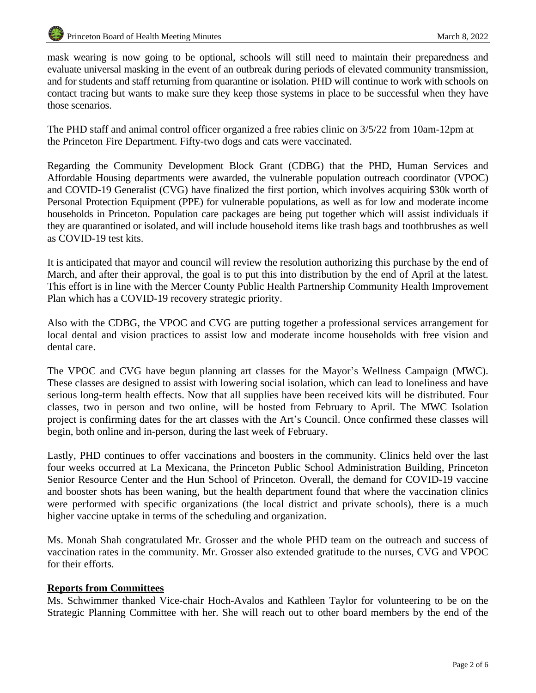mask wearing is now going to be optional, schools will still need to maintain their preparedness and evaluate universal masking in the event of an outbreak during periods of elevated community transmission, and for students and staff returning from quarantine or isolation. PHD will continue to work with schools on contact tracing but wants to make sure they keep those systems in place to be successful when they have those scenarios.

The PHD staff and animal control officer organized a free rabies clinic on 3/5/22 from 10am-12pm at the Princeton Fire Department. Fifty-two dogs and cats were vaccinated.

Regarding the Community Development Block Grant (CDBG) that the PHD, Human Services and Affordable Housing departments were awarded, the vulnerable population outreach coordinator (VPOC) and COVID-19 Generalist (CVG) have finalized the first portion, which involves acquiring \$30k worth of Personal Protection Equipment (PPE) for vulnerable populations, as well as for low and moderate income households in Princeton. Population care packages are being put together which will assist individuals if they are quarantined or isolated, and will include household items like trash bags and toothbrushes as well as COVID-19 test kits.

It is anticipated that mayor and council will review the resolution authorizing this purchase by the end of March, and after their approval, the goal is to put this into distribution by the end of April at the latest. This effort is in line with the Mercer County Public Health Partnership Community Health Improvement Plan which has a COVID-19 recovery strategic priority.

Also with the CDBG, the VPOC and CVG are putting together a professional services arrangement for local dental and vision practices to assist low and moderate income households with free vision and dental care.

The VPOC and CVG have begun planning art classes for the Mayor's Wellness Campaign (MWC). These classes are designed to assist with lowering social isolation, which can lead to loneliness and have serious long-term health effects. Now that all supplies have been received kits will be distributed. Four classes, two in person and two online, will be hosted from February to April. The MWC Isolation project is confirming dates for the art classes with the Art's Council. Once confirmed these classes will begin, both online and in-person, during the last week of February.

Lastly, PHD continues to offer vaccinations and boosters in the community. Clinics held over the last four weeks occurred at La Mexicana, the Princeton Public School Administration Building, Princeton Senior Resource Center and the Hun School of Princeton. Overall, the demand for COVID-19 vaccine and booster shots has been waning, but the health department found that where the vaccination clinics were performed with specific organizations (the local district and private schools), there is a much higher vaccine uptake in terms of the scheduling and organization.

Ms. Monah Shah congratulated Mr. Grosser and the whole PHD team on the outreach and success of vaccination rates in the community. Mr. Grosser also extended gratitude to the nurses, CVG and VPOC for their efforts.

#### **Reports from Committees**

Ms. Schwimmer thanked Vice-chair Hoch-Avalos and Kathleen Taylor for volunteering to be on the Strategic Planning Committee with her. She will reach out to other board members by the end of the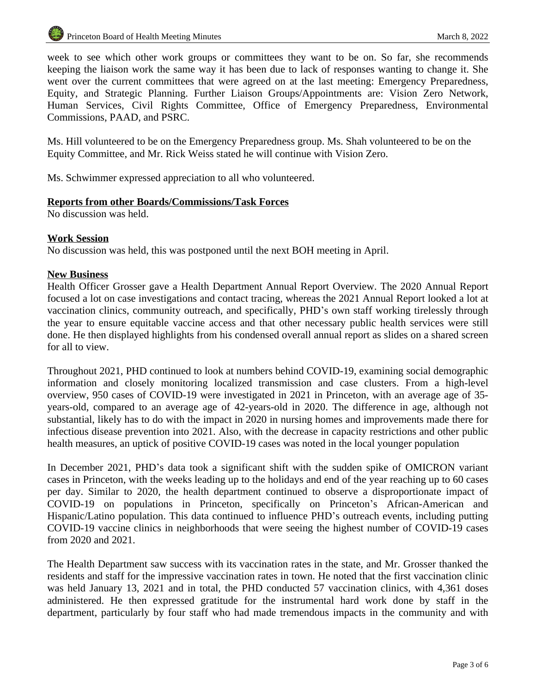week to see which other work groups or committees they want to be on. So far, she recommends keeping the liaison work the same way it has been due to lack of responses wanting to change it. She went over the current committees that were agreed on at the last meeting: Emergency Preparedness, Equity, and Strategic Planning. Further Liaison Groups/Appointments are: Vision Zero Network, Human Services, Civil Rights Committee, Office of Emergency Preparedness, Environmental Commissions, PAAD, and PSRC.

Ms. Hill volunteered to be on the Emergency Preparedness group. Ms. Shah volunteered to be on the Equity Committee, and Mr. Rick Weiss stated he will continue with Vision Zero.

Ms. Schwimmer expressed appreciation to all who volunteered.

### **Reports from other Boards/Commissions/Task Forces**

No discussion was held.

#### **Work Session**

No discussion was held, this was postponed until the next BOH meeting in April.

### **New Business**

Health Officer Grosser gave a Health Department Annual Report Overview. The 2020 Annual Report focused a lot on case investigations and contact tracing, whereas the 2021 Annual Report looked a lot at vaccination clinics, community outreach, and specifically, PHD's own staff working tirelessly through the year to ensure equitable vaccine access and that other necessary public health services were still done. He then displayed highlights from his condensed overall annual report as slides on a shared screen for all to view.

Throughout 2021, PHD continued to look at numbers behind COVID-19, examining social demographic information and closely monitoring localized transmission and case clusters. From a high-level overview, 950 cases of COVID-19 were investigated in 2021 in Princeton, with an average age of 35 years-old, compared to an average age of 42-years-old in 2020. The difference in age, although not substantial, likely has to do with the impact in 2020 in nursing homes and improvements made there for infectious disease prevention into 2021. Also, with the decrease in capacity restrictions and other public health measures, an uptick of positive COVID-19 cases was noted in the local younger population

In December 2021, PHD's data took a significant shift with the sudden spike of OMICRON variant cases in Princeton, with the weeks leading up to the holidays and end of the year reaching up to 60 cases per day. Similar to 2020, the health department continued to observe a disproportionate impact of COVID-19 on populations in Princeton, specifically on Princeton's African-American and Hispanic/Latino population. This data continued to influence PHD's outreach events, including putting COVID-19 vaccine clinics in neighborhoods that were seeing the highest number of COVID-19 cases from 2020 and 2021.

The Health Department saw success with its vaccination rates in the state, and Mr. Grosser thanked the residents and staff for the impressive vaccination rates in town. He noted that the first vaccination clinic was held January 13, 2021 and in total, the PHD conducted 57 vaccination clinics, with 4,361 doses administered. He then expressed gratitude for the instrumental hard work done by staff in the department, particularly by four staff who had made tremendous impacts in the community and with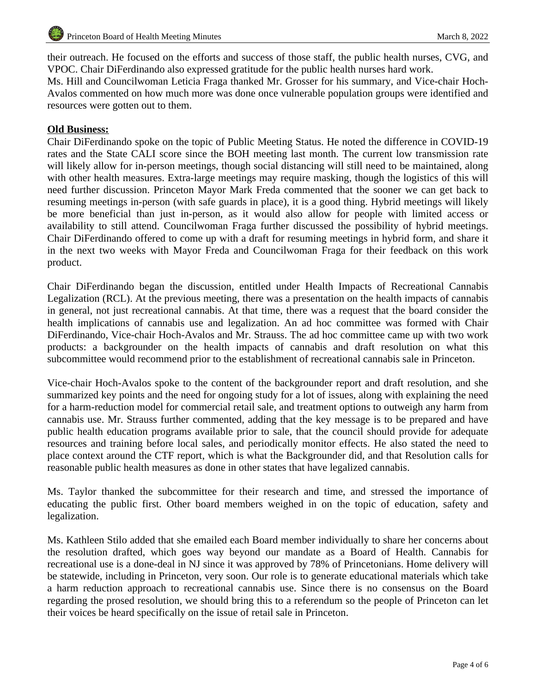their outreach. He focused on the efforts and success of those staff, the public health nurses, CVG, and VPOC. Chair DiFerdinando also expressed gratitude for the public health nurses hard work.

Ms. Hill and Councilwoman Leticia Fraga thanked Mr. Grosser for his summary, and Vice-chair Hoch-Avalos commented on how much more was done once vulnerable population groups were identified and resources were gotten out to them.

#### **Old Business:**

Chair DiFerdinando spoke on the topic of Public Meeting Status. He noted the difference in COVID-19 rates and the State CALI score since the BOH meeting last month. The current low transmission rate will likely allow for in-person meetings, though social distancing will still need to be maintained, along with other health measures. Extra-large meetings may require masking, though the logistics of this will need further discussion. Princeton Mayor Mark Freda commented that the sooner we can get back to resuming meetings in-person (with safe guards in place), it is a good thing. Hybrid meetings will likely be more beneficial than just in-person, as it would also allow for people with limited access or availability to still attend. Councilwoman Fraga further discussed the possibility of hybrid meetings. Chair DiFerdinando offered to come up with a draft for resuming meetings in hybrid form, and share it in the next two weeks with Mayor Freda and Councilwoman Fraga for their feedback on this work product.

Chair DiFerdinando began the discussion, entitled under Health Impacts of Recreational Cannabis Legalization (RCL). At the previous meeting, there was a presentation on the health impacts of cannabis in general, not just recreational cannabis. At that time, there was a request that the board consider the health implications of cannabis use and legalization. An ad hoc committee was formed with Chair DiFerdinando, Vice-chair Hoch-Avalos and Mr. Strauss. The ad hoc committee came up with two work products: a backgrounder on the health impacts of cannabis and draft resolution on what this subcommittee would recommend prior to the establishment of recreational cannabis sale in Princeton.

Vice-chair Hoch-Avalos spoke to the content of the backgrounder report and draft resolution, and she summarized key points and the need for ongoing study for a lot of issues, along with explaining the need for a harm-reduction model for commercial retail sale, and treatment options to outweigh any harm from cannabis use. Mr. Strauss further commented, adding that the key message is to be prepared and have public health education programs available prior to sale, that the council should provide for adequate resources and training before local sales, and periodically monitor effects. He also stated the need to place context around the CTF report, which is what the Backgrounder did, and that Resolution calls for reasonable public health measures as done in other states that have legalized cannabis.

Ms. Taylor thanked the subcommittee for their research and time, and stressed the importance of educating the public first. Other board members weighed in on the topic of education, safety and legalization.

Ms. Kathleen Stilo added that she emailed each Board member individually to share her concerns about the resolution drafted, which goes way beyond our mandate as a Board of Health. Cannabis for recreational use is a done-deal in NJ since it was approved by 78% of Princetonians. Home delivery will be statewide, including in Princeton, very soon. Our role is to generate educational materials which take a harm reduction approach to recreational cannabis use. Since there is no consensus on the Board regarding the prosed resolution, we should bring this to a referendum so the people of Princeton can let their voices be heard specifically on the issue of retail sale in Princeton.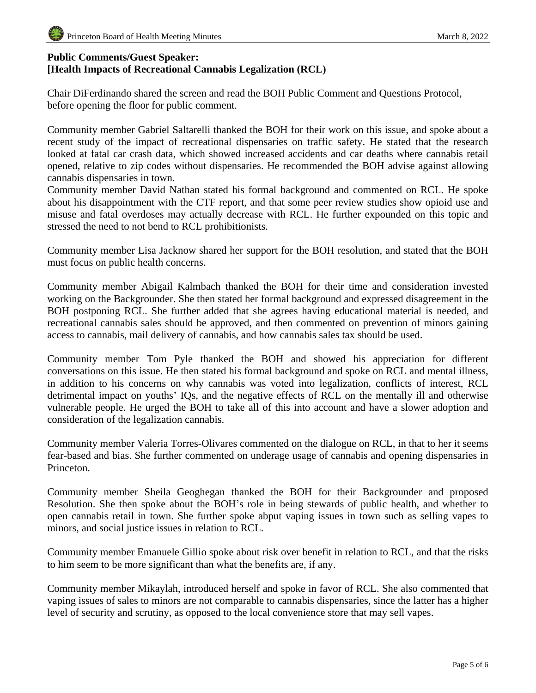# **Public Comments/Guest Speaker: [Health Impacts of Recreational Cannabis Legalization (RCL)**

Chair DiFerdinando shared the screen and read the BOH Public Comment and Questions Protocol, before opening the floor for public comment.

Community member Gabriel Saltarelli thanked the BOH for their work on this issue, and spoke about a recent study of the impact of recreational dispensaries on traffic safety. He stated that the research looked at fatal car crash data, which showed increased accidents and car deaths where cannabis retail opened, relative to zip codes without dispensaries. He recommended the BOH advise against allowing cannabis dispensaries in town.

Community member David Nathan stated his formal background and commented on RCL. He spoke about his disappointment with the CTF report, and that some peer review studies show opioid use and misuse and fatal overdoses may actually decrease with RCL. He further expounded on this topic and stressed the need to not bend to RCL prohibitionists.

Community member Lisa Jacknow shared her support for the BOH resolution, and stated that the BOH must focus on public health concerns.

Community member Abigail Kalmbach thanked the BOH for their time and consideration invested working on the Backgrounder. She then stated her formal background and expressed disagreement in the BOH postponing RCL. She further added that she agrees having educational material is needed, and recreational cannabis sales should be approved, and then commented on prevention of minors gaining access to cannabis, mail delivery of cannabis, and how cannabis sales tax should be used.

Community member Tom Pyle thanked the BOH and showed his appreciation for different conversations on this issue. He then stated his formal background and spoke on RCL and mental illness, in addition to his concerns on why cannabis was voted into legalization, conflicts of interest, RCL detrimental impact on youths' IQs, and the negative effects of RCL on the mentally ill and otherwise vulnerable people. He urged the BOH to take all of this into account and have a slower adoption and consideration of the legalization cannabis.

Community member Valeria Torres-Olivares commented on the dialogue on RCL, in that to her it seems fear-based and bias. She further commented on underage usage of cannabis and opening dispensaries in Princeton.

Community member Sheila Geoghegan thanked the BOH for their Backgrounder and proposed Resolution. She then spoke about the BOH's role in being stewards of public health, and whether to open cannabis retail in town. She further spoke abput vaping issues in town such as selling vapes to minors, and social justice issues in relation to RCL.

Community member Emanuele Gillio spoke about risk over benefit in relation to RCL, and that the risks to him seem to be more significant than what the benefits are, if any.

Community member Mikaylah, introduced herself and spoke in favor of RCL. She also commented that vaping issues of sales to minors are not comparable to cannabis dispensaries, since the latter has a higher level of security and scrutiny, as opposed to the local convenience store that may sell vapes.